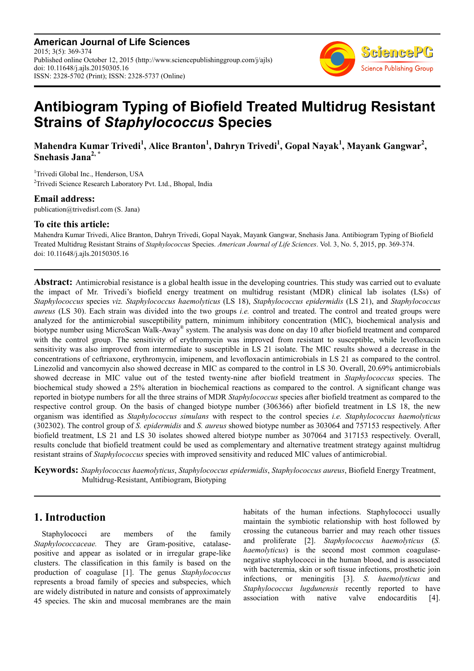**American Journal of Life Sciences** 2015; 3(5): 369-374 Published online October 12, 2015 (http://www.sciencepublishinggroup.com/j/ajls) doi: 10.11648/j.ajls.20150305.16 ISSN: 2328-5702 (Print); ISSN: 2328-5737 (Online)



# **Antibiogram Typing of Biofield Treated Multidrug Resistant Strains of** *Staphylococcus* **Species**

**Mahendra Kumar Trivedi<sup>1</sup> , Alice Branton<sup>1</sup> , Dahryn Trivedi<sup>1</sup> , Gopal Nayak<sup>1</sup> , Mayank Gangwar<sup>2</sup> , Snehasis Jana2, \***

<sup>1</sup>Trivedi Global Inc., Henderson, USA <sup>2</sup>Trivedi Science Research Laboratory Pvt. Ltd., Bhopal, India

### **Email address:**

publication@trivedisrl.com (S. Jana)

### **To cite this article:**

Mahendra Kumar Trivedi, Alice Branton, Dahryn Trivedi, Gopal Nayak, Mayank Gangwar, Snehasis Jana. Antibiogram Typing of Biofield Treated Multidrug Resistant Strains of *Staphylococcus* Species. *American Journal of Life Sciences*. Vol. 3, No. 5, 2015, pp. 369-374. doi: 10.11648/j.ajls.20150305.16

**Abstract:** Antimicrobial resistance is a global health issue in the developing countries. This study was carried out to evaluate the impact of Mr. Trivedi's biofield energy treatment on multidrug resistant (MDR) clinical lab isolates (LSs) of *Staphylococcus* species *viz. Staphylococcus haemolyticus* (LS 18), *Staphylococcus epidermidis* (LS 21), and *Staphylococcus aureus* (LS 30). Each strain was divided into the two groups *i.e.* control and treated. The control and treated groups were analyzed for the antimicrobial susceptibility pattern, minimum inhibitory concentration (MIC), biochemical analysis and biotype number using MicroScan Walk-Away® system. The analysis was done on day 10 after biofield treatment and compared with the control group. The sensitivity of erythromycin was improved from resistant to susceptible, while levofloxacin sensitivity was also improved from intermediate to susceptible in LS 21 isolate. The MIC results showed a decrease in the concentrations of ceftriaxone, erythromycin, imipenem, and levofloxacin antimicrobials in LS 21 as compared to the control. Linezolid and vancomycin also showed decrease in MIC as compared to the control in LS 30. Overall, 20.69% antimicrobials showed decrease in MIC value out of the tested twenty-nine after biofield treatment in *Staphylococcus* species. The biochemical study showed a 25% alteration in biochemical reactions as compared to the control. A significant change was reported in biotype numbers for all the three strains of MDR *Staphylococcus* species after biofield treatment as compared to the respective control group. On the basis of changed biotype number (306366) after biofield treatment in LS 18, the new organism was identified as *Staphylococcus simulans* with respect to the control species *i.e. Staphylococcus haemolyticus* (302302). The control group of *S. epidermidis* and *S. aureus* showed biotype number as 303064 and 757153 respectively. After biofield treatment, LS 21 and LS 30 isolates showed altered biotype number as 307064 and 317153 respectively. Overall, results conclude that biofield treatment could be used as complementary and alternative treatment strategy against multidrug resistant strains of *Staphylococcus* species with improved sensitivity and reduced MIC values of antimicrobial.

**Keywords:** *Staphylococcus haemolyticus*, *Staphylococcus epidermidis*, *Staphylococcus aureus*, Biofield Energy Treatment, Multidrug-Resistant, Antibiogram, Biotyping

# **1. Introduction**

Staphylococci are members of the family *Staphylococcaceae.* They are Gram-positive, catalasepositive and appear as isolated or in irregular grape-like clusters. The classification in this family is based on the production of coagulase [1]. The genus *Staphylococcus* represents a broad family of species and subspecies, which are widely distributed in nature and consists of approximately 45 species. The skin and mucosal membranes are the main habitats of the human infections. Staphylococci usually maintain the symbiotic relationship with host followed by crossing the cutaneous barrier and may reach other tissues and proliferate [2]. *Staphylococcus haemolyticus* (*S. haemolyticus*) is the second most common coagulasenegative staphylococci in the human blood, and is associated with bacteremia, skin or soft tissue infections, prosthetic join infections, or meningitis [3]. *S. haemolyticus* and *Staphylococcus lugdunensis* recently reported to have association with native valve endocarditis [4].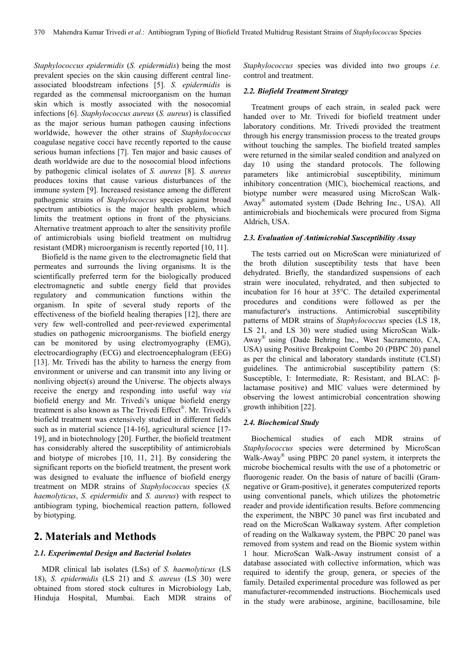*Staphylococcus epidermidis* (*S. epidermidis*) being the most prevalent species on the skin causing different central lineassociated bloodstream infections [5]. *S. epidermidis* is regarded as the commensal microorganism on the human skin which is mostly associated with the nosocomial infections [6]. *Staphylococcus aureus* (*S. aureus*) is classified as the major serious human pathogen causing infections worldwide, however the other strains of *Staphylococcus* coagulase negative cocci have recently reported to the cause serious human infections [7]. Ten major and basic causes of death worldwide are due to the nosocomial blood infections by pathogenic clinical isolates of *S. aureus* [8]. *S. aureus* produces toxins that cause various disturbances of the immune system [9]. Increased resistance among the different pathogenic strains of *Staphylococcus* species against broad spectrum antibiotics is the major health problem, which limits the treatment options in front of the physicians. Alternative treatment approach to alter the sensitivity profile of antimicrobials using biofield treatment on multidrug resistant (MDR) microorganism is recently reported [10, 11].

Biofield is the name given to the electromagnetic field that permeates and surrounds the living organisms. It is the scientifically preferred term for the biologically produced electromagnetic and subtle energy field that provides regulatory and communication functions within the organism. In spite of several study reports of the effectiveness of the biofield healing therapies [12], there are very few well-controlled and peer-reviewed experimental studies on pathogenic microorganisms. The biofield energy can be monitored by using electromyography (EMG), electrocardiography (ECG) and electroencephalogram (EEG) [13]. Mr. Trivedi has the ability to harness the energy from environment or universe and can transmit into any living or nonliving object(s) around the Universe. The objects always receive the energy and responding into useful way *via* biofield energy and Mr. Trivedi's unique biofield energy treatment is also known as The Trivedi Effect® . Mr. Trivedi's biofield treatment was extensively studied in different fields such as in material science [14-16], agricultural science [17-19], and in biotechnology [20]. Further, the biofield treatment has considerably altered the susceptibility of antimicrobials and biotype of microbes [10, 11, 21]. By considering the significant reports on the biofield treatment, the present work was designed to evaluate the influence of biofield energy treatment on MDR strains of *Staphylococcus* species (*S. haemolyticus*, *S. epidermidis* and *S. aureus*) with respect to antibiogram typing, biochemical reaction pattern, followed by biotyping.

## **2. Materials and Methods**

#### *2.1. Experimental Design and Bacterial Isolates*

MDR clinical lab isolates (LSs) of *S. haemolyticus* (LS 18), *S. epidermidis* (LS 21) and *S. aureus* (LS 30) were obtained from stored stock cultures in Microbiology Lab, Hinduja Hospital, Mumbai. Each MDR strains of *Staphylococcus* species was divided into two groups *i.e.* control and treatment.

#### *2.2. Biofield Treatment Strategy*

Treatment groups of each strain, in sealed pack were handed over to Mr. Trivedi for biofield treatment under laboratory conditions. Mr. Trivedi provided the treatment through his energy transmission process to the treated groups without touching the samples. The biofield treated samples were returned in the similar sealed condition and analyzed on day 10 using the standard protocols. The following parameters like antimicrobial susceptibility, minimum inhibitory concentration (MIC), biochemical reactions, and biotype number were measured using MicroScan Walk-Away® automated system (Dade Behring Inc., USA). All antimicrobials and biochemicals were procured from Sigma Aldrich, USA.

#### *2.3. Evaluation of Antimicrobial Susceptibility Assay*

The tests carried out on MicroScan were miniaturized of the broth dilution susceptibility tests that have been dehydrated. Briefly, the standardized suspensions of each strain were inoculated, rehydrated, and then subjected to incubation for 16 hour at 35°C. The detailed experimental procedures and conditions were followed as per the manufacturer's instructions. Antimicrobial susceptibility patterns of MDR strains of *Staphylococcus* species (LS 18, LS 21, and LS 30) were studied using MicroScan Walk-Away® using (Dade Behring Inc., West Sacramento, CA, USA) using Positive Breakpoint Combo 20 (PBPC 20) panel as per the clinical and laboratory standards institute (CLSI) guidelines. The antimicrobial susceptibility pattern (S: Susceptible, I: Intermediate, R: Resistant, and BLAC: βlactamase positive) and MIC values were determined by observing the lowest antimicrobial concentration showing growth inhibition [22].

#### *2.4. Biochemical Study*

Biochemical studies of each MDR strains of *Staphylococcus* species were determined by MicroScan Walk-Away® using PBPC 20 panel system, it interprets the microbe biochemical results with the use of a photometric or fluorogenic reader. On the basis of nature of bacilli (Gramnegative or Gram-positive), it generates computerized reports using conventional panels, which utilizes the photometric reader and provide identification results. Before commencing the experiment, the NBPC 30 panel was first incubated and read on the MicroScan Walkaway system. After completion of reading on the Walkaway system, the PBPC 20 panel was removed from system and read on the Biomic system within 1 hour. MicroScan Walk-Away instrument consist of a database associated with collective information, which was required to identify the group, genera, or species of the family. Detailed experimental procedure was followed as per manufacturer-recommended instructions. Biochemicals used in the study were arabinose, arginine, bacillosamine, bile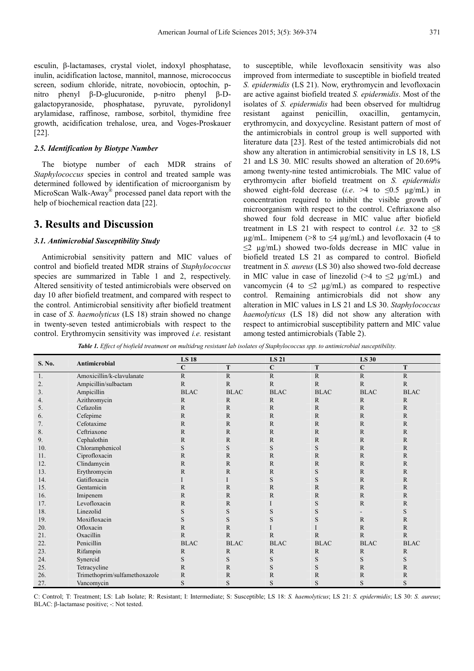esculin, β-lactamases, crystal violet, indoxyl phosphatase, inulin, acidification lactose, mannitol, mannose, micrococcus screen, sodium chloride, nitrate, novobiocin, optochin, pnitro phenyl β-D-glucuronide, p-nitro phenyl β-Dgalactopyranoside, phosphatase, pyruvate, pyrolidonyl arylamidase, raffinose, rambose, sorbitol, thymidine free growth, acidification trehalose, urea, and Voges-Proskauer [22].

#### *2.5. Identification by Biotype Number*

The biotype number of each MDR strains of *Staphylococcus* species in control and treated sample was determined followed by identification of microorganism by MicroScan Walk-Away<sup>®</sup> processed panel data report with the help of biochemical reaction data [22].

### **3. Results and Discussion**

#### *3.1. Antimicrobial Susceptibility Study*

Antimicrobial sensitivity pattern and MIC values of control and biofield treated MDR strains of *Staphylococcus* species are summarized in Table 1 and 2, respectively. Altered sensitivity of tested antimicrobials were observed on day 10 after biofield treatment, and compared with respect to the control. Antimicrobial sensitivity after biofield treatment in case of *S. haemolyticus* (LS 18) strain showed no change in twenty-seven tested antimicrobials with respect to the control. Erythromycin sensitivity was improved *i.e.* resistant to susceptible, while levofloxacin sensitivity was also improved from intermediate to susceptible in biofield treated *S. epidermidis* (LS 21). Now, erythromycin and levofloxacin are active against biofield treated *S. epidermidis*. Most of the isolates of *S. epidermidis* had been observed for multidrug resistant against penicillin, oxacillin, gentamycin, erythromycin, and doxycycline. Resistant pattern of most of the antimicrobials in control group is well supported with literature data [23]. Rest of the tested antimicrobials did not show any alteration in antimicrobial sensitivity in LS 18, LS 21 and LS 30. MIC results showed an alteration of 20.69% among twenty-nine tested antimicrobials. The MIC value of erythromycin after biofield treatment on *S. epidermidis* showed eight-fold decrease (*i.e.*  $>4$  to  $\leq 0.5$  µg/mL) in concentration required to inhibit the visible growth of microorganism with respect to the control. Ceftriaxone also showed four fold decrease in MIC value after biofield treatment in LS 21 with respect to control *i.e.* 32 to  $\leq 8$  $\mu$ g/mL. Imipenem (>8 to  $\leq$ 4  $\mu$ g/mL) and levofloxacin (4 to  $\leq$ 2 µg/mL) showed two-folds decrease in MIC value in biofield treated LS 21 as compared to control. Biofield treatment in *S. aureus* (LS 30) also showed two-fold decrease in MIC value in case of linezolid (>4 to  $\leq$ 2 µg/mL) and vancomycin (4 to  $\leq$ 2 µg/mL) as compared to respective control. Remaining antimicrobials did not show any alteration in MIC values in LS 21 and LS 30. *Staphylococcus haemolyticus* (LS 18) did not show any alteration with respect to antimicrobial susceptibility pattern and MIC value among tested antimicrobials (Table 2).

*Table 1. Effect of biofield treatment on multidrug resistant lab isolates of Staphylococcus spp. to antimicrobial susceptibility.*

| S. No. |                               | <b>LS 18</b> |              | <b>LS 21</b> |                | <b>LS 30</b> |              |  |  |
|--------|-------------------------------|--------------|--------------|--------------|----------------|--------------|--------------|--|--|
|        | Antimicrobial                 | $\mathbf C$  | T            | $\mathbf C$  | T              | $\mathbf C$  | T            |  |  |
| 1.     | Amoxicillin/k-clavulanate     | $\mathbb{R}$ | $\mathbf R$  | ${\bf R}$    | $\mathbf R$    | $\mathbb{R}$ | $\mathbf R$  |  |  |
| 2.     | Ampicillin/sulbactam          | $\mathbb{R}$ | $\mathbb{R}$ | $\mathbf R$  | $\overline{R}$ | $\mathbb{R}$ | $\mathbb{R}$ |  |  |
| 3.     | Ampicillin                    | <b>BLAC</b>  | <b>BLAC</b>  | <b>BLAC</b>  | <b>BLAC</b>    | <b>BLAC</b>  | <b>BLAC</b>  |  |  |
| 4.     | Azithromycin                  | R            | $\mathbb{R}$ | $\mathbb{R}$ | $\mathbb{R}$   | $\mathbb{R}$ | $\mathbb{R}$ |  |  |
| 5.     | Cefazolin                     | $\mathbb{R}$ | $\mathbf{R}$ | $\mathbf R$  | $\mathbb{R}$   | $\mathbb{R}$ | $\mathbb{R}$ |  |  |
| 6.     | Cefepime                      | R            | $\mathbb{R}$ | $\mathbb{R}$ | $\mathbb{R}$   | $\mathbb{R}$ | $\mathbb{R}$ |  |  |
| 7.     | Cefotaxime                    | $\mathbb{R}$ | $\mathbb{R}$ | $\mathbb{R}$ | $\mathbb{R}$   | $\mathbb{R}$ | $\mathbb{R}$ |  |  |
| 8.     | Ceftriaxone                   | R            | $\mathbb{R}$ | $\mathbb{R}$ | $\mathbb{R}$   | R            | R            |  |  |
| 9.     | Cephalothin                   | $\mathbb{R}$ | $\mathbf{R}$ | $\mathbf R$  | $\mathbb{R}$   | $\mathbb{R}$ | $\mathbb{R}$ |  |  |
| 10.    | Chloramphenicol               | S            | S            | S            | S              | $\mathbb{R}$ | R            |  |  |
| 11.    | Ciprofloxacin                 | $\mathbb{R}$ | $\mathbb{R}$ | $\mathbb{R}$ | R              | $\mathbb{R}$ | $\mathbb{R}$ |  |  |
| 12.    | Clindamycin                   | $\mathbb{R}$ | $\mathbb{R}$ | $\mathbb{R}$ | R              | $\mathbb{R}$ | $\mathbb{R}$ |  |  |
| 13.    | Erythromycin                  | $\mathbb{R}$ | $\mathbb{R}$ | $\mathbf R$  | S              | $\mathbb{R}$ | $\mathbb{R}$ |  |  |
| 14.    | Gatifloxacin                  |              |              | S            | S              | $\mathbb{R}$ | R            |  |  |
| 15.    | Gentamicin                    | $\mathbb{R}$ | $\mathbf{R}$ | $\mathbf R$  | $\mathbb{R}$   | $\mathbb R$  | $\mathbb{R}$ |  |  |
| 16.    | Imipenem                      | R            | $\mathbb{R}$ | $\mathbb{R}$ | $\mathbb{R}$   | $\mathbb{R}$ | $\mathbb{R}$ |  |  |
| 17.    | Levofloxacin                  | $\mathbb{R}$ | $\mathbf R$  | I            | $\mathbf S$    | $\mathbb{R}$ | $\mathbb{R}$ |  |  |
| 18.    | Linezolid                     | S            | S            | S            | $\mathbf S$    |              | S            |  |  |
| 19.    | Moxifloxacin                  | S            | S            | S            | S              | $\mathbb{R}$ | $\mathbb{R}$ |  |  |
| 20.    | Ofloxacin                     | $\mathbb{R}$ | $\mathbb R$  |              |                | $\mathbb R$  | $\mathbb{R}$ |  |  |
| 21.    | Oxacillin                     | $\mathbb{R}$ | $\mathbf{R}$ | $\mathbf{R}$ | $\mathbb{R}$   | $\mathbb{R}$ | $\mathbb{R}$ |  |  |
| 22.    | Penicillin                    | <b>BLAC</b>  | <b>BLAC</b>  | <b>BLAC</b>  | <b>BLAC</b>    | <b>BLAC</b>  | <b>BLAC</b>  |  |  |
| 23.    | Rifampin                      | $\mathbb{R}$ | $\mathbb{R}$ | $\mathbb{R}$ | $\mathbb{R}$   | $\mathbf R$  | $\mathbb{R}$ |  |  |
| 24.    | Synercid                      | S            | S            | S            | $\mathbf S$    | S            | S            |  |  |
| 25.    | Tetracycline                  | $\mathbf R$  | $\mathbf{R}$ | S            | S              | $\mathbf R$  | $\mathbb{R}$ |  |  |
| 26.    | Trimethoprim/sulfamethoxazole | $\mathbb R$  | $\mathbb{R}$ | $\mathbb{R}$ | $\mathbb{R}$   | $\mathbb{R}$ | R            |  |  |
| 27.    | Vancomycin                    | S            | S            | S            | S              | S            | S            |  |  |

C: Control; T: Treatment; LS: Lab Isolate; R: Resistant; I: Intermediate; S: Susceptible; LS 18: *S. haemolyticus*; LS 21: *S. epidermidis*; LS 30: *S. aureus*; BLAC: β-lactamase positive; -: Not tested.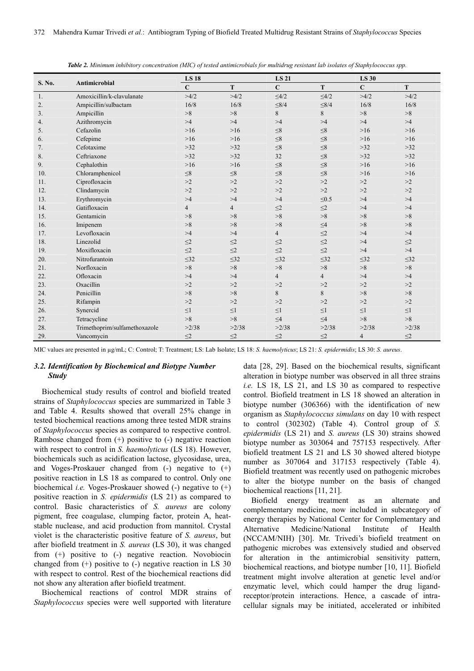| S. No. |                               | <b>LS 18</b>   |                | <b>LS 21</b>   |                |                | <b>LS 30</b> |  |
|--------|-------------------------------|----------------|----------------|----------------|----------------|----------------|--------------|--|
|        | Antimicrobial                 | $\mathbf C$    | T              | $\mathbf C$    | T              | $\overline{C}$ | T            |  |
| 1.     | Amoxicillin/k-clavulanate     | >4/2           | >4/2           | $\leq 4/2$     | $\leq 4/2$     | >4/2           | >4/2         |  |
| 2.     | Ampicillin/sulbactam          | 16/8           | 16/8           | $\leq 8/4$     | $\leq 8/4$     | 16/8           | 16/8         |  |
| 3.     | Ampicillin                    | >8             | >8             | 8              | 8              | >8             | >8           |  |
| 4.     | Azithromycin                  | >4             | >4             | >4             | >4             | >4             | >4           |  |
| 5.     | Cefazolin                     | $>16$          | $>16$          | $\leq\!\!8$    | $\leq 8$       | $>16$          | $>16$        |  |
| 6.     | Cefepime                      | $>16$          | $>16$          | $\leq 8$       | $\leq 8$       | $>16$          | $>16$        |  |
| 7.     | Cefotaxime                    | >32            | >32            | $\leq 8$       | $\leq 8$       | $>32$          | $>32$        |  |
| 8.     | Ceftriaxone                   | $>32$          | $>32$          | 32             | $\leq$ 8       | $>32$          | $>32$        |  |
| 9.     | Cephalothin                   | $>16$          | $>16$          | $\leq 8$       | $\leq 8$       | $>16$          | $>16$        |  |
| 10.    | Chloramphenicol               | $\leq 8$       | $\leq 8$       | $\leq 8$       | $\leq 8$       | $>16$          | $>16$        |  |
| 11.    | Ciprofloxacin                 | >2             | >2             | >2             | >2             | >2             | >2           |  |
| 12.    | Clindamycin                   | >2             | >2             | >2             | >2             | >2             | >2           |  |
| 13.    | Erythromycin                  | >4             | >4             | >4             | $\leq 0.5$     | >4             | >4           |  |
| 14.    | Gatifloxacin                  | $\overline{4}$ | $\overline{4}$ | $\leq$ 2       | $\leq$ 2       | >4             | >4           |  |
| 15.    | Gentamicin                    | >8             | >8             | >8             | >8             | >8             | >8           |  |
| 16.    | Imipenem                      | >8             | >8             | >8             | $\leq4$        | >8             | >8           |  |
| 17.    | Levofloxacin                  | >4             | >4             | $\overline{4}$ | $\leq$ 2       | >4             | >4           |  |
| 18.    | Linezolid                     | $\leq$ 2       | $\leq$ 2       | $\leq$ 2       | $\leq$ 2       | >4             | $\leq$ 2     |  |
| 19.    | Moxifloxacin                  | $\leq$ 2       | $\leq$ 2       | $\leq$ 2       | $\leq$ 2       | >4             | >4           |  |
| 20.    | Nitrofurantoin                | $\leq$ 32      | $\leq 32$      | $\leq$ 32      | $\leq$ 32      | $\leq$ 32      | $\leq$ 32    |  |
| 21.    | Norfloxacin                   | >8             | >8             | >8             | >8             | >8             | >8           |  |
| 22.    | Ofloxacin                     | >4             | >4             | $\overline{4}$ | $\overline{4}$ | >4             | >4           |  |
| 23.    | Oxacillin                     | >2             | >2             | >2             | >2             | >2             | >2           |  |
| 24.    | Penicillin                    | >8             | >8             | 8              | 8              | >8             | >8           |  |
| 25.    | Rifampin                      | >2             | >2             | >2             | >2             | >2             | >2           |  |
| 26.    | Synercid                      | ${\leq}1$      | $\leq$ 1       | $\leq$ 1       | $\leq$ 1       | $\leq$ 1       | $\leq1$      |  |
| 27.    | Tetracycline                  | >8             | >8             | $\leq 4$       | $\leq 4$       | >8             | >8           |  |
| 28.    | Trimethoprim/sulfamethoxazole | >2/38          | >2/38          | >2/38          | >2/38          | >2/38          | >2/38        |  |
| 29.    | Vancomycin                    | $\leq$ 2       | $\leq$ 2       | $\leq$ 2       | $\leq$ 2       | 4              | $\leq$ 2     |  |

*Table 2. Minimum inhibitory concentration (MIC) of tested antimicrobials for multidrug resistant lab isolates of Staphylococcus spp.* 

MIC values are presented in µg/mL; C: Control; T: Treatment; LS: Lab Isolate; LS 18: *S. haemolyticus*; LS 21: *S. epidermidis*; LS 30: *S. aureus*.

#### *3.2. Identification by Biochemical and Biotype Number Study*

Biochemical study results of control and biofield treated strains of *Staphylococcus* species are summarized in Table 3 and Table 4. Results showed that overall 25% change in tested biochemical reactions among three tested MDR strains of *Staphylococcus* species as compared to respective control. Rambose changed from (+) positive to (-) negative reaction with respect to control in *S. haemolyticus* (LS 18). However, biochemicals such as acidification lactose, glycosidase, urea, and Voges-Proskauer changed from  $(-)$  negative to  $(+)$ positive reaction in LS 18 as compared to control. Only one biochemical *i.e.* Voges-Proskauer showed (-) negative to (+) positive reaction in *S. epidermidis* (LS 21) as compared to control. Basic characteristics of *S. aureus* are colony pigment, free coagulase, clumping factor, protein A, heatstable nuclease, and acid production from mannitol. Crystal violet is the characteristic positive feature of *S. aureus*, but after biofield treatment in *S. aureus* (LS 30), it was changed from (+) positive to (-) negative reaction. Novobiocin changed from (+) positive to (-) negative reaction in LS 30 with respect to control. Rest of the biochemical reactions did not show any alteration after biofield treatment.

Biochemical reactions of control MDR strains of *Staphylococcus* species were well supported with literature data [28, 29]. Based on the biochemical results, significant alteration in biotype number was observed in all three strains *i.e.* LS 18, LS 21, and LS 30 as compared to respective control. Biofield treatment in LS 18 showed an alteration in biotype number (306366) with the identification of new organism as *Staphylococcus simulans* on day 10 with respect to control (302302) (Table 4). Control group of *S. epidermidis* (LS 21) and *S. aureus* (LS 30) strains showed biotype number as 303064 and 757153 respectively. After biofield treatment LS 21 and LS 30 showed altered biotype number as 307064 and 317153 respectively (Table 4). Biofield treatment was recently used on pathogenic microbes to alter the biotype number on the basis of changed biochemical reactions [11, 21].

Biofield energy treatment as an alternate and complementary medicine, now included in subcategory of energy therapies by National Center for Complementary and Alternative Medicine/National Institute of Health (NCCAM/NIH) [30]. Mr. Trivedi's biofield treatment on pathogenic microbes was extensively studied and observed for alteration in the antimicrobial sensitivity pattern, biochemical reactions, and biotype number [10, 11]. Biofield treatment might involve alteration at genetic level and/or enzymatic level, which could hamper the drug ligandreceptor/protein interactions. Hence, a cascade of intracellular signals may be initiated, accelerated or inhibited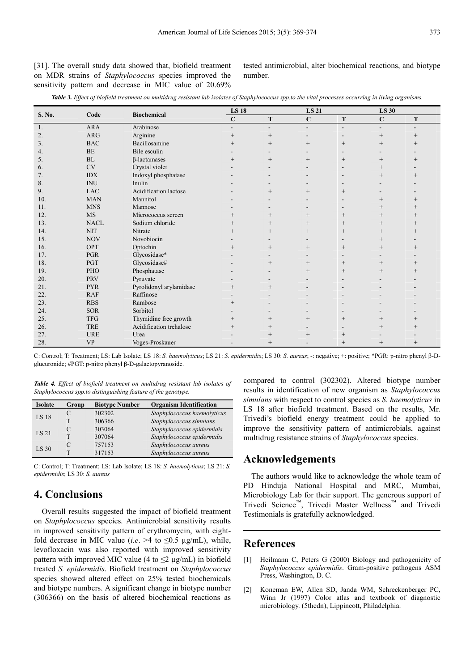[31]. The overall study data showed that, biofield treatment on MDR strains of *Staphylococcus* species improved the sensitivity pattern and decrease in MIC value of 20.69% tested antimicrobial, alter biochemical reactions, and biotype number.

|  |  |  |  |  |  |  |  |  |  |  | Table 3. Effect of biofield treatment on multidrug resistant lab isolates of Staphylococcus spp.to the vital processes occurring in living organisms. |  |
|--|--|--|--|--|--|--|--|--|--|--|-------------------------------------------------------------------------------------------------------------------------------------------------------|--|
|--|--|--|--|--|--|--|--|--|--|--|-------------------------------------------------------------------------------------------------------------------------------------------------------|--|

| S. No. | Code        |                         | <b>LS 18</b>   |                          | <b>LS 21</b> |                |             | <b>LS 30</b>       |  |
|--------|-------------|-------------------------|----------------|--------------------------|--------------|----------------|-------------|--------------------|--|
|        |             | <b>Biochemical</b>      | $\mathbf C$    | T                        | $\mathbf C$  | T              | $\mathbf C$ | T                  |  |
| 1.     | <b>ARA</b>  | Arabinose               | $\blacksquare$ | $\overline{\phantom{a}}$ | Ξ.           | $\overline{a}$ | $\sim$      |                    |  |
| 2.     | <b>ARG</b>  | Arginine                | $^{+}$         | $^{+}$                   |              |                | $^{+}$      | $^{+}$             |  |
| 3.     | <b>BAC</b>  | Bacillosamine           | $^{+}$         | $^{+}$                   | $^{+}$       | $+$            | $^{+}$      |                    |  |
| 4.     | <b>BE</b>   | Bile esculin            |                | $\blacksquare$           |              |                |             |                    |  |
| 5.     | <b>BL</b>   | <b>B-lactamases</b>     | $^{+}$         | $+$                      | $^{+}$       | $+$            | $^{+}$      | $^{+}$             |  |
| 6.     | <b>CV</b>   | Crystal violet          |                | $\overline{\phantom{a}}$ |              |                | $^{+}$      |                    |  |
| 7.     | <b>IDX</b>  | Indoxyl phosphatase     |                |                          |              |                | $^{+}$      | $\hspace{0.1mm} +$ |  |
| 8.     | <b>INU</b>  | Inulin                  |                |                          |              |                |             |                    |  |
| 9.     | <b>LAC</b>  | Acidification lactose   |                | $^{+}$                   | $^{+}$       | $+$            |             |                    |  |
| 10.    | <b>MAN</b>  | Mannitol                |                |                          |              |                | $^{+}$      |                    |  |
| 11.    | <b>MNS</b>  | Mannose                 |                |                          |              |                | $^{+}$      | $^{+}$             |  |
| 12.    | <b>MS</b>   | Micrococcus screen      | $^{+}$         | $^{+}$                   | $^{+}$       | $^{+}$         | $^{+}$      |                    |  |
| 13.    | <b>NACL</b> | Sodium chloride         | $^{+}$         | $+$                      | $^{+}$       | $+$            | $^{+}$      | $^{+}$             |  |
| 14.    | <b>NIT</b>  | Nitrate                 | $^{+}$         | $+$                      | $^{+}$       | $^{+}$         | $^{+}$      | $^{+}$             |  |
| 15.    | <b>NOV</b>  | Novobiocin              |                |                          |              |                | $^{+}$      |                    |  |
| 16.    | OPT         | Optochin                | $^{+}$         | $^{+}$                   | $^{+}$       | $^{+}$         | $^{+}$      | $^{+}$             |  |
| 17.    | <b>PGR</b>  | Glycosidase*            |                |                          |              |                |             |                    |  |
| 18.    | PGT         | Glycosidase#            |                | $^{+}$                   | $^{+}$       |                | $^{+}$      | $^{+}$             |  |
| 19.    | PHO         | Phosphatase             |                |                          | $^{+}$       | $^{+}$         | $^{+}$      | $^{+}$             |  |
| 20.    | <b>PRV</b>  | Pyruvate                |                |                          |              |                |             |                    |  |
| 21.    | <b>PYR</b>  | Pyrolidonyl arylamidase | $^{+}$         | $^{+}$                   |              |                |             |                    |  |
| 22.    | <b>RAF</b>  | Raffinose               |                |                          |              |                |             |                    |  |
| 23.    | <b>RBS</b>  | Rambose                 | $^{+}$         |                          |              |                |             |                    |  |
| 24.    | <b>SOR</b>  | Sorbitol                |                |                          |              |                |             |                    |  |
| 25.    | <b>TFG</b>  | Thymidine free growth   | $^{+}$         | $^{+}$                   | $^{+}$       | $+$            | $^{+}$      | $^{+}$             |  |
| 26.    | <b>TRE</b>  | Acidification trehalose | $^{+}$         | $^{+}$                   |              |                | $^{+}$      |                    |  |
| 27.    | <b>URE</b>  | Urea                    |                | $^{+}$                   | $^{+}$       |                |             |                    |  |
| 28.    | <b>VP</b>   | Voges-Proskauer         |                | $^{+}$                   |              | $^{+}$         | $^{+}$      | $^{+}$             |  |

C: Control; T: Treatment; LS: Lab Isolate; LS 18: *S. haemolyticus*; LS 21: *S. epidermidis*; LS 30: *S. aureus*; -: negative; +: positive; \*PGR: p-nitro phenyl β-Dglucuronide; #PGT: p-nitro phenyl β-D-galactopyranoside.

*Table 4. Effect of biofield treatment on multidrug resistant lab isolates of Staphylococcus spp.to distinguishing feature of the genotype.* 

| <b>Isolate</b> | Group         | <b>Biotype Number</b> | <b>Organism Identification</b> |
|----------------|---------------|-----------------------|--------------------------------|
| LS 18          |               | 302302                | Staphylococcus haemolyticus    |
|                |               | 306366                | Staphylococcus simulans        |
| <b>LS 21</b>   | $\mathcal{C}$ | 303064                | Staphylococcus epidermidis     |
|                |               | 307064                | Staphylococcus epidermidis     |
| LS 30          | $\mathcal{C}$ | 757153                | Staphylococcus aureus          |
|                |               | 317153                | Staphylococcus aureus          |

C: Control; T: Treatment; LS: Lab Isolate; LS 18: *S. haemolyticus*; LS 21: *S. epidermidis*; LS 30: *S. aureus*

# **4. Conclusions**

Overall results suggested the impact of biofield treatment on *Staphylococcus* species. Antimicrobial sensitivity results in improved sensitivity pattern of erythromycin, with eightfold decrease in MIC value (*i.e.* >4 to  $\leq 0.5$  µg/mL), while, levofloxacin was also reported with improved sensitivity pattern with improved MIC value (4 to  $\leq$ 2 µg/mL) in biofield treated *S. epidermidis*. Biofield treatment on *Staphylococcus* species showed altered effect on 25% tested biochemicals and biotype numbers. A significant change in biotype number (306366) on the basis of altered biochemical reactions as compared to control (302302). Altered biotype number results in identification of new organism as *Staphylococcus simulans* with respect to control species as *S. haemolyticus* in LS 18 after biofield treatment. Based on the results, Mr. Trivedi's biofield energy treatment could be applied to improve the sensitivity pattern of antimicrobials, against multidrug resistance strains of *Staphylococcus* species.

### **Acknowledgements**

The authors would like to acknowledge the whole team of PD Hinduja National Hospital and MRC, Mumbai, Microbiology Lab for their support. The generous support of Trivedi Science™, Trivedi Master Wellness™ and Trivedi Testimonials is gratefully acknowledged.

# **References**

- [1] Heilmann C, Peters G (2000) Biology and pathogenicity of *Staphylococcus epidermidis*. Gram-positive pathogens ASM Press, Washington, D. C.
- [2] Koneman EW, Allen SD, Janda WM, Schreckenberger PC, Winn Jr (1997) Color atlas and textbook of diagnostic microbiology. (5thedn), Lippincott, Philadelphia.